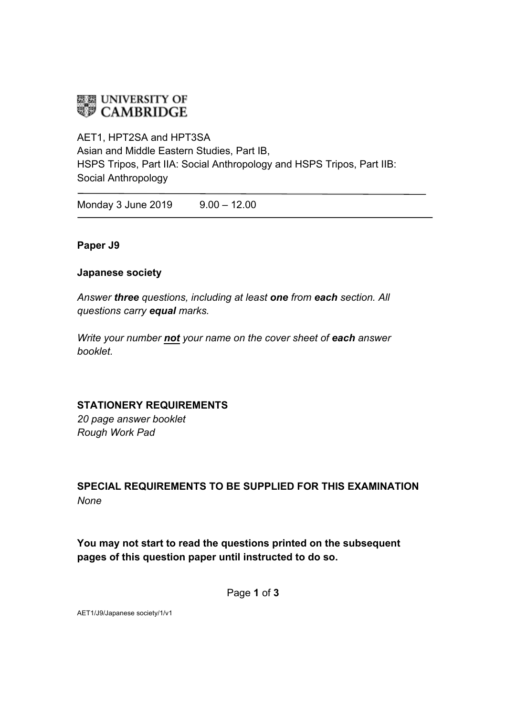# **EE UNIVERSITY OF**<br>**EE** CAMBRIDGE

AET1, HPT2SA and HPT3SA Asian and Middle Eastern Studies, Part IB, HSPS Tripos, Part IIA: Social Anthropology and HSPS Tripos, Part IIB: Social Anthropology

Monday 3 June 2019 9.00 - 12.00

### **Paper J9**

#### **Japanese society**

*Answer three questions, including at least one from each section. All questions carry equal marks.*

*Write your number not your name on the cover sheet of each answer booklet.* 

### **STATIONERY REQUIREMENTS**

*20 page answer booklet Rough Work Pad*

## **SPECIAL REQUIREMENTS TO BE SUPPLIED FOR THIS EXAMINATION** *None*

## **You may not start to read the questions printed on the subsequent pages of this question paper until instructed to do so.**

Page **1** of **3**

AET1/J9/Japanese society/1/v1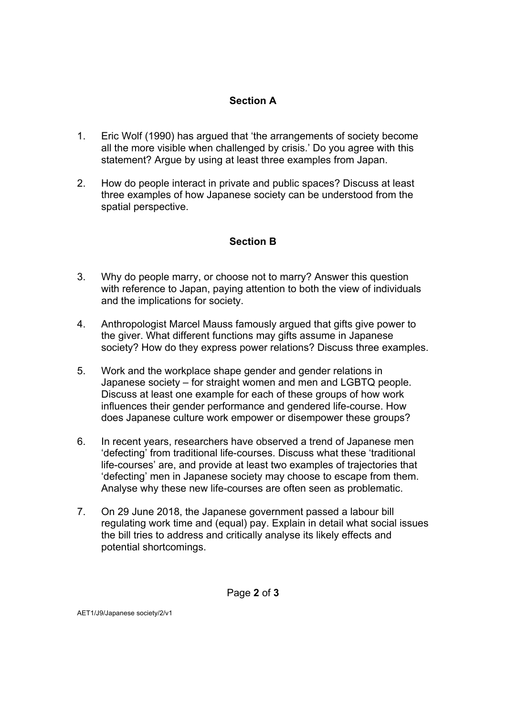## **Section A**

- 1. Eric Wolf (1990) has argued that 'the arrangements of society become all the more visible when challenged by crisis.' Do you agree with this statement? Argue by using at least three examples from Japan.
- 2. How do people interact in private and public spaces? Discuss at least three examples of how Japanese society can be understood from the spatial perspective.

## **Section B**

- 3. Why do people marry, or choose not to marry? Answer this question with reference to Japan, paying attention to both the view of individuals and the implications for society.
- 4. Anthropologist Marcel Mauss famously argued that gifts give power to the giver. What different functions may gifts assume in Japanese society? How do they express power relations? Discuss three examples.
- 5. Work and the workplace shape gender and gender relations in Japanese society – for straight women and men and LGBTQ people. Discuss at least one example for each of these groups of how work influences their gender performance and gendered life-course. How does Japanese culture work empower or disempower these groups?
- 6. In recent years, researchers have observed a trend of Japanese men 'defecting' from traditional life-courses. Discuss what these 'traditional life-courses' are, and provide at least two examples of trajectories that 'defecting' men in Japanese society may choose to escape from them. Analyse why these new life-courses are often seen as problematic.
- 7. On 29 June 2018, the Japanese government passed a labour bill regulating work time and (equal) pay. Explain in detail what social issues the bill tries to address and critically analyse its likely effects and potential shortcomings.

Page **2** of **3**

AET1/J9/Japanese society/2/v1